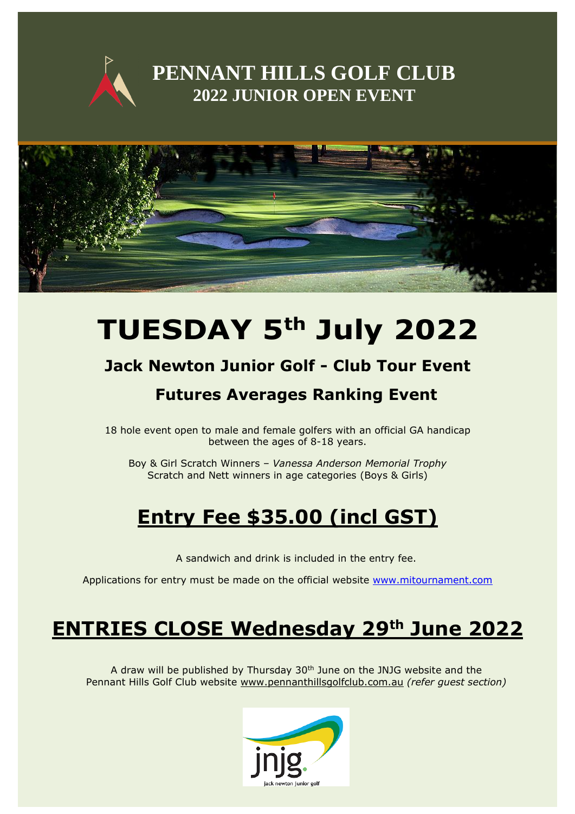

### **PENNANT HILLS GOLF CLUB 2022 JUNIOR OPEN EVENT**



# **TUESDAY 5 th July 2022**

### **Jack Newton Junior Golf - Club Tour Event**

### **Futures Averages Ranking Event**

18 hole event open to male and female golfers with an official GA handicap between the ages of 8-18 years.

Boy & Girl Scratch Winners – *Vanessa Anderson Memorial Trophy* Scratch and Nett winners in age categories (Boys & Girls)

# **Entry Fee \$35.00 (incl GST)**

A sandwich and drink is included in the entry fee.

Applications for entry must be made on the official website [www.mitournament.com](http://www.mitournament.com/)

## **ENTRIES CLOSE Wednesday 29th June 2022**

A draw will be published by Thursday  $30<sup>th</sup>$  June on the JNJG website and the Pennant Hills Golf Club website [www.pennanthillsgolfclub.com.au](http://www.pennanthillsgolfclub.com.au/) *(refer guest section)*